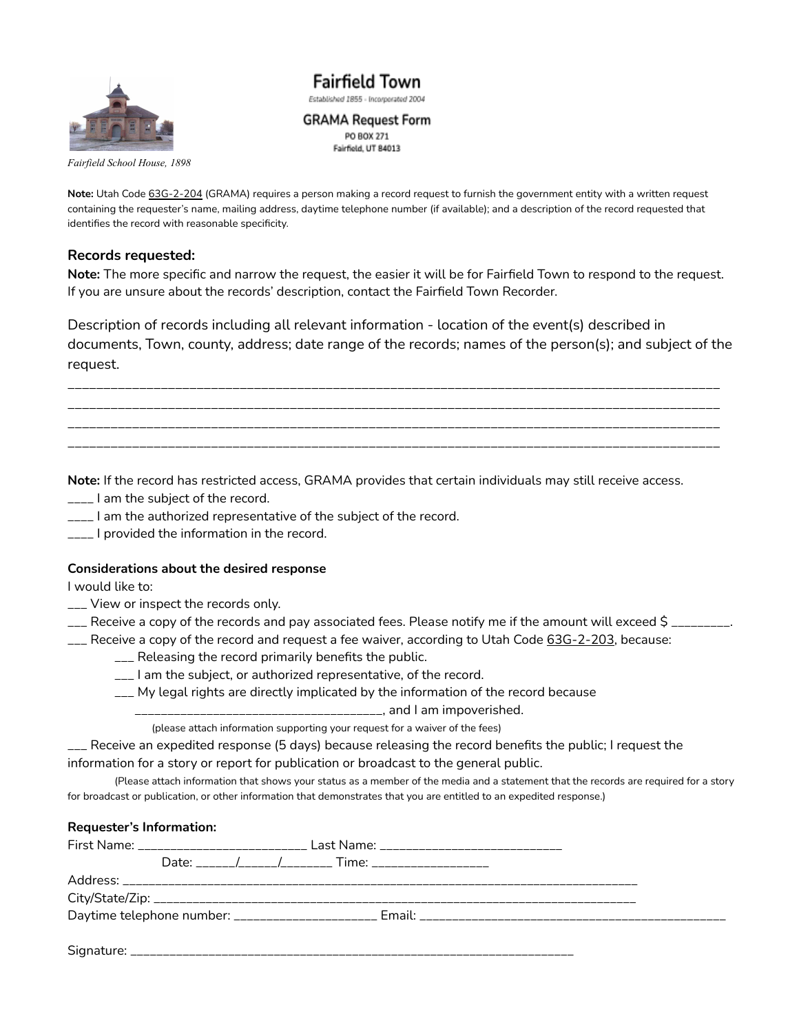

**Fairfield Town** Established 1855 - Incorporated 2004 **GRAMA Request Form** 

PO BOX 271 Fairfield, UT 84013

*Fairfield School House, 1898*

**Note:** Utah Code 63G-2-204 (GRAMA) requires a person making a record request to furnish the government entity with a written request containing the requester's name, mailing address, daytime telephone number (if available); and a description of the record requested that identifies the record with reasonable specificity.

### **Records requested:**

**Note:** The more specific and narrow the request, the easier it will be for Fairfield Town to respond to the request. If you are unsure about the records' description, contact the Fairfield Town Recorder.

Description of records including all relevant information - location of the event(s) described in documents, Town, county, address; date range of the records; names of the person(s); and subject of the request.

\_\_\_\_\_\_\_\_\_\_\_\_\_\_\_\_\_\_\_\_\_\_\_\_\_\_\_\_\_\_\_\_\_\_\_\_\_\_\_\_\_\_\_\_\_\_\_\_\_\_\_\_\_\_\_\_\_\_\_\_\_\_\_\_\_\_\_\_\_\_\_\_\_\_\_\_\_\_\_\_\_\_\_\_\_\_\_\_\_\_\_ \_\_\_\_\_\_\_\_\_\_\_\_\_\_\_\_\_\_\_\_\_\_\_\_\_\_\_\_\_\_\_\_\_\_\_\_\_\_\_\_\_\_\_\_\_\_\_\_\_\_\_\_\_\_\_\_\_\_\_\_\_\_\_\_\_\_\_\_\_\_\_\_\_\_\_\_\_\_\_\_\_\_\_\_\_\_\_\_\_\_\_ \_\_\_\_\_\_\_\_\_\_\_\_\_\_\_\_\_\_\_\_\_\_\_\_\_\_\_\_\_\_\_\_\_\_\_\_\_\_\_\_\_\_\_\_\_\_\_\_\_\_\_\_\_\_\_\_\_\_\_\_\_\_\_\_\_\_\_\_\_\_\_\_\_\_\_\_\_\_\_\_\_\_\_\_\_\_\_\_\_\_\_ \_\_\_\_\_\_\_\_\_\_\_\_\_\_\_\_\_\_\_\_\_\_\_\_\_\_\_\_\_\_\_\_\_\_\_\_\_\_\_\_\_\_\_\_\_\_\_\_\_\_\_\_\_\_\_\_\_\_\_\_\_\_\_\_\_\_\_\_\_\_\_\_\_\_\_\_\_\_\_\_\_\_\_\_\_\_\_\_\_\_\_

**Note:** If the record has restricted access, GRAMA provides that certain individuals may still receive access.

- \_\_\_\_ I am the subject of the record.
- $\frac{1}{2}$  am the authorized representative of the subject of the record.
- \_\_\_\_ I provided the information in the record.

### **Considerations about the desired response**

I would like to:

- \_\_\_ View or inspect the records only.
- \_\_\_ Receive a copy of the records and pay associated fees. Please notify me if the amount will exceed \$ \_\_\_\_\_\_\_\_\_.
- \_\_\_ Receive a copy of the record and request a fee waiver, according to Utah Code 63G-2-203, because:
	- \_\_\_ Releasing the record primarily benefits the public.
	- \_\_\_ I am the subject, or authorized representative, of the record.
	- \_\_\_ My legal rights are directly implicated by the information of the record because
		- \_\_\_\_\_\_\_\_\_\_\_\_\_\_\_\_\_\_\_\_\_\_\_\_\_\_\_\_\_\_\_\_\_\_\_\_\_\_, and I am impoverished.

(please attach information supporting your request for a waiver of the fees)

\_\_\_ Receive an expedited response (5 days) because releasing the record benefits the public; I request the information for a story or report for publication or broadcast to the general public.

(Please attach information that shows your status as a member of the media and a statement that the records are required for a story for broadcast or publication, or other information that demonstrates that you are entitled to an expedited response.)

#### **Requester's Information:**

|  |  | First Name: ________________________________ Last Name: _________________________ |  |  |
|--|--|-----------------------------------------------------------------------------------|--|--|
|  |  |                                                                                   |  |  |
|  |  |                                                                                   |  |  |
|  |  |                                                                                   |  |  |
|  |  |                                                                                   |  |  |
|  |  |                                                                                   |  |  |

Signature: \_\_\_